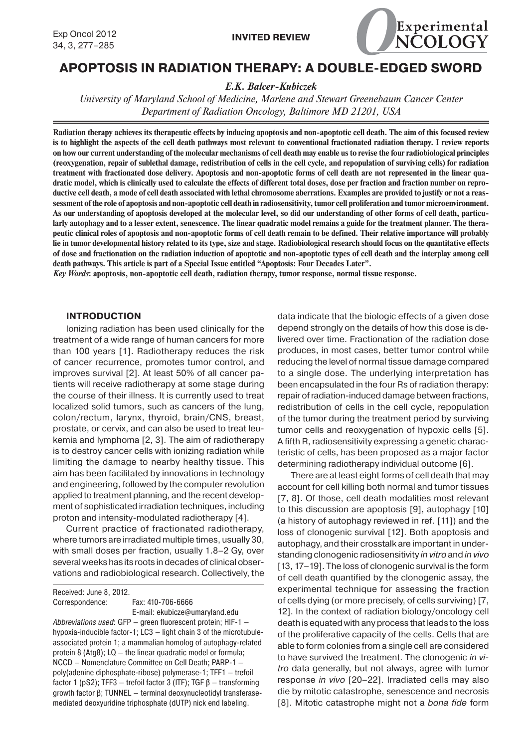

# **APOPTOSIS IN RADIATION THERAPY: A DOUBLE-EDGED SWORD**

*E.K. Balcer-Kubiczek*

*University of Maryland School of Medicine, Marlene and Stewart Greenebaum Cancer Center Department of Radiation Oncology, Baltimore MD 21201, USA*

**Radiation therapy achieves its therapeutic effects by inducing apoptosis and non-apoptotic cell death. The aim of this focused review is to highlight the aspects of the cell death pathways most relevant to conventional fractionated radiation therapy. I review reports on how our current understanding of the molecular mechanisms of cell death may enable us to revise the four radiobiological principles (reoxygenation, repair of sublethal damage, redistribution of cells in the cell cycle, and repopulation of surviving cells) for radiation treatment with fractionated dose delivery. Apoptosis and non-apoptotic forms of cell death are not represented in the linear quadratic model, which is clinically used to calculate the effects of different total doses, dose per fraction and fraction number on reproductive cell death, a mode of cell death associated with lethal chromosome aberrations. Examples are provided to justify or not a reassessment of the role of apoptosis and non-apoptotic cell death in radiosensitivity, tumor cell proliferation and tumor microenvironment. As our understanding of apoptosis developed at the molecular level, so did our understanding of other forms of cell death, particularly autophagy and to a lesser extent, senescence. The linear quadratic model remains a guide for the treatment planner. The therapeutic clinical roles of apoptosis and non-apoptotic forms of cell death remain to be defined. Their relative importance will probably lie in tumor developmental history related to its type, size and stage. Radiobiological research should focus on the quantitative effects of dose and fractionation on the radiation induction of apoptotic and non-apoptotic types of cell death and the interplay among cell death pathways. This article is part of a Special Issue entitled "Apoptosis: Four Decades Later".**

*Key Words***: apoptosis, non-apoptotic cell death, radiation therapy, tumor response, normal tissue response.**

### **INTRODUCTION**

Ionizing radiation has been used clinically for the treatment of a wide range of human cancers for more than 100 years [1]. Radiotherapy reduces the risk of cancer recurrence, promotes tumor control, and improves survival [2]. At least 50% of all cancer patients will receive radiotherapy at some stage during the course of their illness. It is currently used to treat localized solid tumors, such as cancers of the lung, colon/rectum, larynx, thyroid, brain/CNS, breast, prostate, or cervix, and can also be used to treat leukemia and lymphoma [2, 3]. The aim of radiotherapy is to destroy cancer cells with ionizing radiation while limiting the damage to nearby healthy tissue. This aim has been facilitated by innovations in technology and engineering, followed by the computer revolution applied to treatment planning, and the recent development of sophisticated irradiation techniques, including proton and intensity-modulated radiotherapy [4].

Current practice of fractionated radiotherapy, where tumors are irradiated multiple times, usually 30, with small doses per fraction, usually 1.8–2 Gy, over several weeks has its roots in decades of clinical observations and radiobiological research. Collectively, the

Received: June 8, 2012. Correspondence: Fax: 410-706-6666 E-mail: ekubicze@umaryland.edu

Abbreviations used: GFP — green fluorescent protein; HIF-1 hypoxia-inducible factor-1; LC3 — light chain 3 of the microtubuleassociated protein 1; a mammalian homolog of autophagy-related protein 8 (Atg8); LQ — the linear quadratic model or formula; NCCD — Nomenclature Committee on Cell Death; PARP-1 poly(adenine diphosphate-ribose) polymerase-1; TFF1 — trefoil factor 1 (pS2); TFF3 — trefoil factor 3 (ITF); TGF β — transforming growth factor β; TUNNEL — terminal deoxynucleotidyl transferasemediated deoxyuridine triphosphate (dUTP) nick end labeling.

data indicate that the biologic effects of a given dose depend strongly on the details of how this dose is delivered over time. Fractionation of the radiation dose produces, in most cases, better tumor control while reducing the level of normal tissue damage compared to a single dose. The underlying interpretation has been encapsulated in the four Rs of radiation therapy: repair of radiation-induced damage between fractions, redistribution of cells in the cell cycle, repopulation of the tumor during the treatment period by surviving tumor cells and reoxygenation of hypoxic cells [5]. A fifth R, radiosensitivity expressing a genetic characteristic of cells, has been proposed as a major factor determining radiotherapy individual outcome [6].

There are at least eight forms of cell death that may account for cell killing both normal and tumor tissues [7, 8]. Of those, cell death modalities most relevant to this discussion are apoptosis [9], autophagy [10] (a history of autophagy reviewed in ref. [11]) and the loss of clonogenic survival [12]. Both apoptosis and autophagy, and their crosstalk are important in understanding clonogenic radiosensitivity *in vitro* and *in vivo* [13, 17-19]. The loss of clonogenic survival is the form of cell death quantified by the clonogenic assay, the experimental technique for assessing the fraction of cells dying (or more precisely, of cells surviving) [7, 12]. In the context of radiation biology/oncology cell death is equated with any process that leads to the loss of the proliferative capacity of the cells. Cells that are able to form colonies from a single cell are considered to have survived the treatment. The clonogenic *in vitro* data generally, but not always, agree with tumor response *in vivo* [20–22]. Irradiated cells may also die by mitotic catastrophe, senescence and necrosis [8]. Mitotic catastrophe might not a *bona fide* form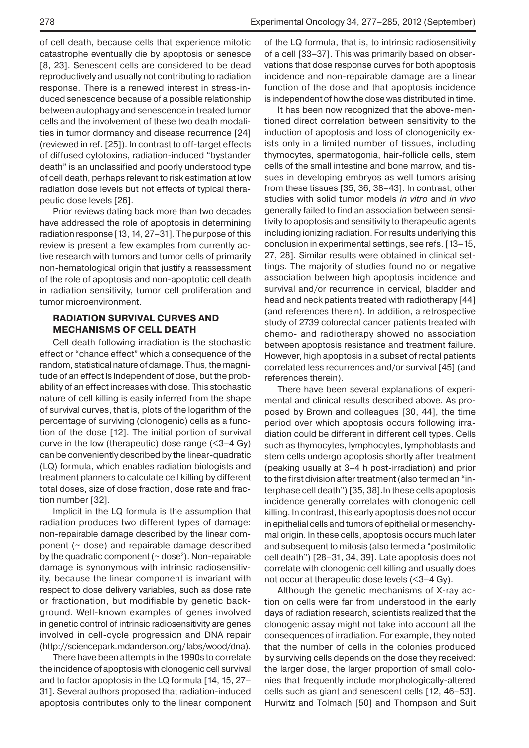of cell death, because cells that experience mitotic catastrophe eventually die by apoptosis or senesce [8, 23]. Senescent cells are considered to be dead reproductively and usually not contributing to radiation response. There is a renewed interest in stress-induced senescence because of a possible relationship between autophagy and senescence in treated tumor cells and the involvement of these two death modalities in tumor dormancy and disease recurrence [24] (reviewed in ref. [25]). In contrast to off-target effects of diffused cytotoxins, radiation-induced "bystander death" is an unclassified and poorly understood type of cell death, perhaps relevant to risk estimation at low radiation dose levels but not effects of typical therapeutic dose levels [26].

Prior reviews dating back more than two decades have addressed the role of apoptosis in determining radiation response [13, 14, 27–31]. The purpose of this review is present a few examples from currently active research with tumors and tumor cells of primarily non-hematological origin that justify a reassessment of the role of apoptosis and non-apoptotic cell death in radiation sensitivity, tumor cell proliferation and tumor microenvironment.

## **RADIATION SURVIVAL CURVES AND MECHANISMS OF CELL DEATH**

Cell death following irradiation is the stochastic effect or "chance effect" which a consequence of the random, statistical nature of damage. Thus, the magnitude of an effect is independent of dose, but the probability of an effect increases with dose. This stochastic nature of cell killing is easily inferred from the shape of survival curves, that is, plots of the logarithm of the percentage of surviving (clonogenic) cells as a function of the dose [12]. The initial portion of survival curve in the low (therapeutic) dose range (<3–4 Gy) can be conveniently described by the linear-quadratic (LQ) formula, which enables radiation biologists and treatment planners to calculate cell killing by different total doses, size of dose fraction, dose rate and fraction number [32].

Implicit in the LQ formula is the assumption that radiation produces two different types of damage: non-repairable damage described by the linear component ( $\sim$  dose) and repairable damage described by the quadratic component ( $\sim$  dose<sup>2</sup>). Non-repairable damage is synonymous with intrinsic radiosensitivity, because the linear component is invariant with respect to dose delivery variables, such as dose rate or fractionation, but modifiable by genetic background. Well-known examples of genes involved in genetic control of intrinsic radiosensitivity are genes involved in cell-cycle progression and DNA repair (http://sciencepark.mdanderson.org/ labs/wood/dna).

There have been attempts in the 1990s to correlate the incidence of apoptosis with clonogenic cell survival and to factor apoptosis in the LQ formula [14, 15, 27– 31]. Several authors proposed that radiation-induced apoptosis contributes only to the linear component of the LQ formula, that is, to intrinsic radiosensitivity of a cell [33–37]. This was primarily based on observations that dose response curves for both apoptosis incidence and non-repairable damage are a linear function of the dose and that apoptosis incidence is independent of how the dose was distributed in time.

It has been now recognized that the above-mentioned direct correlation between sensitivity to the induction of apoptosis and loss of clonogenicity exists only in a limited number of tissues, including thymocytes, spermatogonia, hair-follicle cells, stem cells of the small intestine and bone marrow, and tissues in developing embryos as well tumors arising from these tissues [35, 36, 38–43]. In contrast, other studies with solid tumor models *in vitro* and *in vivo* generally failed to find an association between sensitivity to apoptosis and sensitivity to therapeutic agents including ionizing radiation. For results underlying this conclusion in experimental settings, see refs. [13–15, 27, 28]. Similar results were obtained in clinical settings. The majority of studies found no or negative association between high apoptosis incidence and survival and/or recurrence in cervical, bladder and head and neck patients treated with radiotherapy [44] (and references therein). In addition, a retrospective study of 2739 colorectal cancer patients treated with chemo- and radiotherapy showed no association between apoptosis resistance and treatment failure. However, high apoptosis in a subset of rectal patients correlated less recurrences and/or survival [45] (and references therein).

There have been several explanations of experimental and clinical results described above. As proposed by Brown and colleagues [30, 44], the time period over which apoptosis occurs following irradiation could be different in different cell types. Cells such as thymocytes, lymphocytes, lymphoblasts and stem cells undergo apoptosis shortly after treatment (peaking usually at 3–4 h post-irradiation) and prior to the first division after treatment (also termed an "interphase cell death") [35, 38].In these cells apoptosis incidence generally correlates with clonogenic cell killing. In contrast, this early apoptosis does not occur in epithelial cells and tumors of epithelial or mesenchymal origin. In these cells, apoptosis occurs much later and subsequent to mitosis (also termed a "postmitotic cell death") [28–31, 34, 39]. Late apoptosis does not correlate with clonogenic cell killing and usually does not occur at therapeutic dose levels (<3–4 Gy).

Although the genetic mechanisms of X-ray action on cells were far from understood in the early days of radiation research, scientists realized that the clonogenic assay might not take into account all the consequences of irradiation. For example, they noted that the number of cells in the colonies produced by surviving cells depends on the dose they received: the larger dose, the larger proportion of small colonies that frequently include morphologically-altered cells such as giant and senescent cells [12, 46–53]. Hurwitz and Tolmach [50] and Thompson and Suit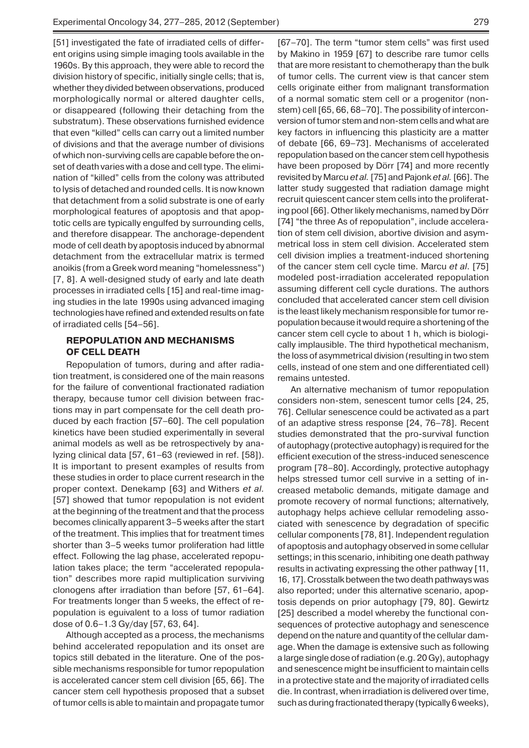[51] investigated the fate of irradiated cells of different origins using simple imaging tools available in the 1960s. By this approach, they were able to record the division history of specific, initially single cells; that is, whether they divided between observations, produced morphologically normal or altered daughter cells, or disappeared (following their detaching from the substratum). These observations furnished evidence that even "killed" cells can carry out a limited number of divisions and that the average number of divisions of which non-surviving cells are capable before the onset of death varies with a dose and cell type. The elimination of "killed" cells from the colony was attributed to lysis of detached and rounded cells. It is now known that detachment from a solid substrate is one of early morphological features of apoptosis and that apoptotic cells are typically engulfed by surrounding cells, and therefore disappear. The anchorage-dependent mode of cell death by apoptosis induced by abnormal detachment from the extracellular matrix is termed anoikis (from a Greek word meaning "homelessness") [7, 8]. A well-designed study of early and late death processes in irradiated cells [15] and real-time imaging studies in the late 1990s using advanced imaging technologies have refined and extended results on fate of irradiated cells [54–56].

# **REPOPULATION AND MECHANISMS OF CELL DEATH**

Repopulation of tumors, during and after radiation treatment, is considered one of the main reasons for the failure of conventional fractionated radiation therapy, because tumor cell division between fractions may in part compensate for the cell death produced by each fraction [57–60]. The cell population kinetics have been studied experimentally in several animal models as well as be retrospectively by analyzing clinical data [57, 61–63 (reviewed in ref. [58]). It is important to present examples of results from these studies in order to place current research in the proper context. Denekamp [63] and Withers *et al.* [57] showed that tumor repopulation is not evident at the beginning of the treatment and that the process becomes clinically apparent 3–5 weeks after the start of the treatment. This implies that for treatment times shorter than 3–5 weeks tumor proliferation had little effect. Following the lag phase, accelerated repopulation takes place; the term "accelerated repopulation" describes more rapid multiplication surviving clonogens after irradiation than before [57, 61–64]. For treatments longer than 5 weeks, the effect of repopulation is eguivalent to a loss of tumor radiation dose of 0.6–1.3 Gy/day [57, 63, 64].

Although accepted as a process, the mechanisms behind accelerated repopulation and its onset are topics still debated in the literature. One of the possible mechanisms responsible for tumor repopulation is accelerated cancer stem cell division [65, 66]. The cancer stem cell hypothesis proposed that a subset of tumor cells is able to maintain and propagate tumor

[67–70]. The term "tumor stem cells" was first used by Makino in 1959 [67] to describe rare tumor cells that are more resistant to chemotherapy than the bulk of tumor cells. The current view is that cancer stem cells originate either from malignant transformation of a normal somatic stem cell or a progenitor (nonstem) cell [65, 66, 68–70]. The possibility of interconversion of tumor stem and non-stem cells and what are key factors in influencing this plasticity are a matter of debate [66, 69–73]. Mechanisms of accelerated repopulation based on the cancer stem cell hypothesis have been proposed by Dörr [74] and more recently revisited by Marcu *et al.* [75] and Pajonk *et al.* [66]. The latter study suggested that radiation damage might recruit quiescent cancer stem cells into the proliferating pool [66]. Other likely mechanisms, named by Dörr [74] "the three As of repopulation", include acceleration of stem cell division, abortive division and asymmetrical loss in stem cell division. Accelerated stem cell division implies a treatment-induced shortening of the cancer stem cell cycle time. Marcu *et al*. [75] modeled post-irradiation accelerated repopulation assuming different cell cycle durations. The authors concluded that accelerated cancer stem cell division is the least likely mechanism responsible for tumor repopulation because it would require a shortening of the cancer stem cell cycle to about 1 h, which is biologically implausible. The third hypothetical mechanism, the loss of asymmetrical division (resulting in two stem cells, instead of one stem and one differentiated cell) remains untested.

An alternative mechanism of tumor repopulation considers non-stem, senescent tumor cells [24, 25, 76]. Cellular senescence could be activated as a part of an adaptive stress response [24, 76–78]. Recent studies demonstrated that the pro-survival function of autophagy (protective autophagy) is required for the efficient execution of the stress-induced senescence program [78–80]. Accordingly, protective autophagy helps stressed tumor cell survive in a setting of increased metabolic demands, mitigate damage and promote recovery of normal functions; alternatively, autophagy helps achieve cellular remodeling associated with senescence by degradation of specific cellular components [78, 81]. Independent regulation of apoptosis and autophagy observed in some cellular settings; in this scenario, inhibiting one death pathway results in activating expressing the other pathway [11, 16, 17]. Crosstalk between the two death pathways was also reported; under this alternative scenario, apoptosis depends on prior autophagy [79, 80]. Gewirtz [25] described a model whereby the functional consequences of protective autophagy and senescence depend on the nature and quantity of the cellular damage. When the damage is extensive such as following a large single dose of radiation (e.g. 20 Gy), autophagy and senescence might be insufficient to maintain cells in a protective state and the majority of irradiated cells die. In contrast, when irradiation is delivered over time, such as during fractionated therapy (typically 6 weeks),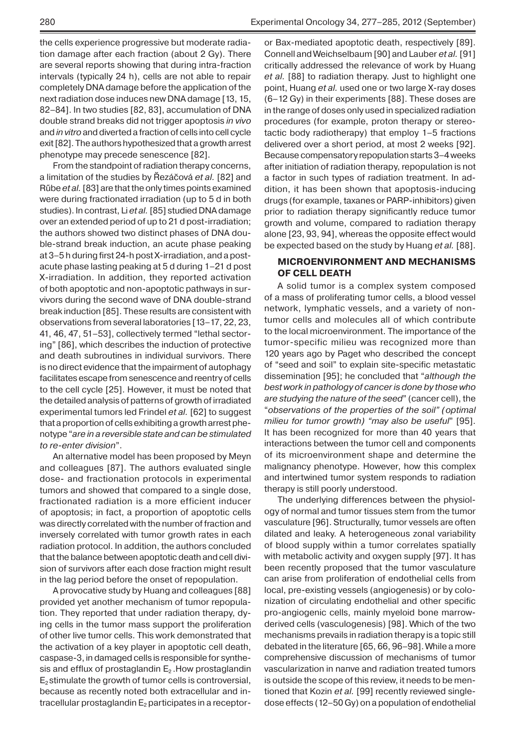the cells experience progressive but moderate radiation damage after each fraction (about 2 Gy). There are several reports showing that during intra-fraction intervals (typically 24 h), cells are not able to repair completely DNA damage before the application of the next radiation dose induces new DNA damage [13, 15, 82–84]. In two studies [82, 83], accumulation of DNA double strand breaks did not trigger apoptosis *in vivo* and *in vitro* and diverted a fraction of cells into cell cycle exit [82]. The authors hypothesized that a growth arrest phenotype may precede senescence [82].

From the standpoint of radiation therapy concerns, a limitation of the studies by Řezáčová *et al.* [82] and Rűbe *et al.* [83] are that the only times points examined were during fractionated irradiation (up to 5 d in both studies). In contrast, Li *et al.* [85] studied DNA damage over an extended period of up to 21 d post-irradiation; the authors showed two distinct phases of DNA double-strand break induction, an acute phase peaking at 3–5 h during first 24-h post X-irradiation, and a postacute phase lasting peaking at 5 d during 1–21 d post X-irradiation. In addition, they reported activation of both apoptotic and non-apoptotic pathways in survivors during the second wave of DNA double-strand break induction [85]. These results are consistent with observations from several laboratories [13–17, 22, 23, 41, 46, 47, 51–53], collectively termed "lethal sectoring" [86], which describes the induction of protective and death subroutines in individual survivors. There is no direct evidence that the impairment of autophagy facilitates escape from senescence and reentry of cells to the cell cycle [25]. However, it must be noted that the detailed analysis of patterns of growth of irradiated experimental tumors led Frindel *et al.* [62] to suggest that a proportion of cells exhibiting a growth arrest phenotype "*are in a reversible state and can be stimulated to re-enter division*".

An alternative model has been proposed by Meyn and colleagues [87]. The authors evaluated single dose- and fractionation protocols in experimental tumors and showed that compared to a single dose, fractionated radiation is a more efficient inducer of apoptosis; in fact, a proportion of apoptotic cells was directly correlated with the number of fraction and inversely correlated with tumor growth rates in each radiation protocol. In addition, the authors concluded that the balance between apoptotic death and cell division of survivors after each dose fraction might result in the lag period before the onset of repopulation.

A provocative study by Huang and colleagues [88] provided yet another mechanism of tumor repopulation. They reported that under radiation therapy, dying cells in the tumor mass support the proliferation of other live tumor cells. This work demonstrated that the activation of a key player in apoptotic cell death, caspase-3, in damaged cells is responsible for synthesis and efflux of prostaglandin  $E_2$ . How prostaglandin  $E<sub>2</sub>$  stimulate the growth of tumor cells is controversial, because as recently noted both extracellular and intracellular prostaglandin  $E_2$  participates in a receptoror Bax-mediated apoptotic death, respectively [89]. Connell and Weichselbaum [90] and Lauber *et al.* [91] critically addressed the relevance of work by Huang *et al.* [88] to radiation therapy. Just to highlight one point, Huang *et al.* used one or two large X-ray doses (6–12 Gy) in their experiments [88]. These doses are in the range of doses only used in specialized radiation procedures (for example, proton therapy or stereotactic body radiotherapy) that employ 1–5 fractions delivered over a short period, at most 2 weeks [92]. Because compensatory repopulation starts 3–4 weeks after initiation of radiation therapy, repopulation is not a factor in such types of radiation treatment. In addition, it has been shown that apoptosis-inducing drugs (for example, taxanes or PARP-inhibitors) given prior to radiation therapy significantly reduce tumor growth and volume, compared to radiation therapy alone [23, 93, 94], whereas the opposite effect would be expected based on the study by Huang *et al.* [88].

## **MICROENVIRONMENT AND MECHANISMS OF CELL DEATH**

A solid tumor is a complex system composed of a mass of proliferating tumor cells, a blood vessel network, lymphatic vessels, and a variety of nontumor cells and molecules all of which contribute to the local microenvironment. The importance of the tumor-specific milieu was recognized more than 120 years ago by Paget who described the concept of "seed and soil" to explain site-specific metastatic dissemination [95]; he concluded that "*although the best work in pathology of cancer is done by those who are studying the nature of the seed*" (cancer cell), the "*observations of the properties of the soil" (optimal milieu for tumor growth) "may also be useful*" [95]. It has been recognized for more than 40 years that interactions between the tumor cell and components of its microenvironment shape and determine the malignancy phenotype. However, how this complex and intertwined tumor system responds to radiation therapy is still poorly understood.

The underlying differences between the physiology of normal and tumor tissues stem from the tumor vasculature [96]. Structurally, tumor vessels are often dilated and leaky. A heterogeneous zonal variability of blood supply within a tumor correlates spatially with metabolic activity and oxygen supply [97]. It has been recently proposed that the tumor vasculature can arise from proliferation of endothelial cells from local, pre-existing vessels (angiogenesis) or by colonization of circulating endothelial and other specific pro-angiogenic cells, mainly myeloid bone marrowderived cells (vasculogenesis) [98]. Which of the two mechanisms prevails in radiation therapy is a topic still debated in the literature [65, 66, 96–98]. While a more comprehensive discussion of mechanisms of tumor vascularization in naпve and radiation treated tumors is outside the scope of this review, it needs to be mentioned that Kozin *et al.* [99] recently reviewed singledose effects (12–50 Gy) on a population of endothelial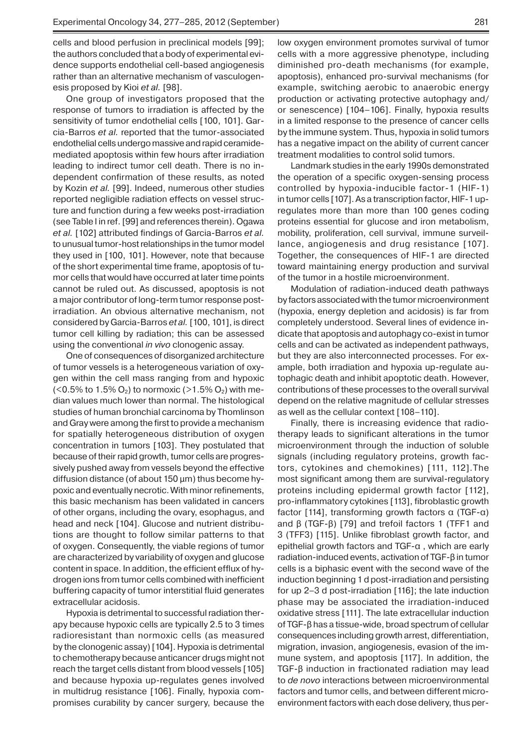cells and blood perfusion in preclinical models [99]; the authors concluded that a body of experimental evidence supports endothelial cell-based angiogenesis rather than an alternative mechanism of vasculogenesis proposed by Kioi *et al.* [98].

One group of investigators proposed that the response of tumors to irradiation is affected by the sensitivity of tumor endothelial cells [100, 101]. Garcia-Barros *et al.* reported that the tumor-associated endothelial cells undergo massive and rapid ceramidemediated apoptosis within few hours after irradiation leading to indirect tumor cell death. There is no independent confirmation of these results, as noted by Kozin *et al.* [99]. Indeed, numerous other studies reported negligible radiation effects on vessel structure and function during a few weeks post-irradiation (see Table I in ref. [99] and references therein). Ogawa *et al.* [102] attributed findings of Garcia-Barros *et al.* to unusual tumor-host relationships in the tumor model they used in [100, 101]. However, note that because of the short experimental time frame, apoptosis of tumor cells that would have occurred at later time points cannot be ruled out. As discussed, apoptosis is not a major contributor of long-term tumor response postirradiation. An obvious alternative mechanism, not considered by Garcia-Barros *et al.* [100, 101], is direct tumor cell killing by radiation; this can be assessed using the conventional *in vivo* clonogenic assay.

One of consequences of disorganized architecture of tumor vessels is a heterogeneous variation of oxygen within the cell mass ranging from and hypoxic (<0.5% to 1.5%  $O_2$ ) to normoxic (>1.5%  $O_2$ ) with median values much lower than normal. The histological studies of human bronchial carcinoma by Thomlinson and Gray were among the first to provide a mechanism for spatially heterogeneous distribution of oxygen concentration in tumors [103]. They postulated that because of their rapid growth, tumor cells are progressively pushed away from vessels beyond the effective diffusion distance (of about 150 μm) thus become hypoxic and eventually necrotic. With minor refinements, this basic mechanism has been validated in cancers of other organs, including the ovary, esophagus, and head and neck [104]. Glucose and nutrient distributions are thought to follow similar patterns to that of oxygen. Consequently, the viable regions of tumor are characterized by variability of oxygen and glucose content in space. In addition, the efficient efflux of hydrogen ions from tumor cells combined with inefficient buffering capacity of tumor interstitial fluid generates extracellular acidosis.

Hypoxia is detrimental to successful radiation therapy because hypoxic cells are typically 2.5 to 3 times radioresistant than normoxic cells (as measured by the clonogenic assay) [104]. Hypoxia is detrimental to chemotherapy because anticancer drugs might not reach the target cells distant from blood vessels [105] and because hypoxia up-regulates genes involved in multidrug resistance [106]. Finally, hypoxia compromises curability by cancer surgery, because the

low oxygen environment promotes survival of tumor cells with a more aggressive phenotype, including diminished pro-death mechanisms (for example, apoptosis), enhanced pro-survival mechanisms (for example, switching aerobic to anaerobic energy production or activating protective autophagy and/ or senescence) [104–106]. Finally, hypoxia results in a limited response to the presence of cancer cells by the immune system. Thus, hypoxia in solid tumors has a negative impact on the ability of current cancer treatment modalities to control solid tumors.

Landmark studies in the early 1990s demonstrated the operation of a specific oxygen-sensing process controlled by hypoxia-inducible factor-1 (HIF-1) in tumor cells [107]. As a transcription factor, HIF-1 upregulates more than more than 100 genes coding proteins essential for glucose and iron metabolism, mobility, proliferation, cell survival, immune surveillance, angiogenesis and drug resistance [107]. Together, the consequences of HIF-1 are directed toward maintaining energy production and survival of the tumor in a hostile microenvironment.

Modulation of radiation-induced death pathways by factors associated with the tumor microenvironment (hypoxia, energy depletion and acidosis) is far from completely understood. Several lines of evidence indicate that apoptosis and autophagy co-exist in tumor cells and can be activated as independent pathways, but they are also interconnected processes. For example, both irradiation and hypoxia up-regulate autophagic death and inhibit apoptotic death. However, contributions of these processes to the overall survival depend on the relative magnitude of cellular stresses as well as the cellular context [108–110].

Finally, there is increasing evidence that radiotherapy leads to significant alterations in the tumor microenvironment through the induction of soluble signals (including regulatory proteins, growth factors, cytokines and chemokines) [111, 112].The most significant among them are survival-regulatory proteins including epidermal growth factor [112], pro-inflammatory cytokines [113], fibroblastic growth factor [114], transforming growth factors α (TGF-α) and β (TGF-β) [79] and trefoil factors 1 (TFF1 and 3 (TFF3) [115]. Unlike fibroblast growth factor, and epithelial growth factors and TGF-α , which are early radiation-induced events, activation of TGF-β in tumor cells is a biphasic event with the second wave of the induction beginning 1 d post-irradiation and persisting for up 2–3 d post-irradiation [116]; the late induction phase may be associated the irradiation-induced oxidative stress [111]. The late extracellular induction of TGF-β has a tissue-wide, broad spectrum of cellular consequences including growth arrest, differentiation, migration, invasion, angiogenesis, evasion of the immune system, and apoptosis [117]. In addition, the TGF-β induction in fractionated radiation may lead to *de novo* interactions between microenvironmental factors and tumor cells, and between different microenvironment factors with each dose delivery, thus per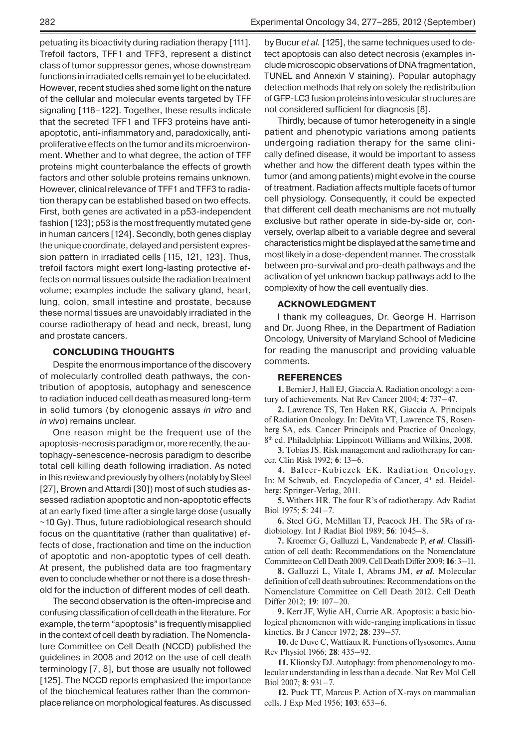petuating its bioactivity during radiation therapy [111]. Trefoil factors, TFF1 and TFF3, represent a distinct class of tumor suppressor genes, whose downstream functions in irradiated cells remain yet to be elucidated. However, recent studies shed some light on the nature of the cellular and molecular events targeted by TFF signaling [118–122]. Together, these results indicate that the secreted TFF1 and TFF3 proteins have antiapoptotic, anti-inflammatory and, paradoxically, antiproliferative effects on the tumor and its microenvironment. Whether and to what degree, the action of TFF proteins might counterbalance the effects of growth factors and other soluble proteins remains unknown. However, clinical relevance of TFF1 and TFF3 to radiation therapy can be established based on two effects. First, both genes are activated in a p53-independent fashion [123]; p53 is the most frequently mutated gene in human cancers [124]. Secondly, both genes display the unique coordinate, delayed and persistent expression pattern in irradiated cells [115, 121, 123]. Thus, trefoil factors might exert long-lasting protective effects on normal tissues outside the radiation treatment volume; examples include the salivary gland, heart, lung, colon, small intestine and prostate, because these normal tissues are unavoidably irradiated in the course radiotherapy of head and neck, breast, lung and prostate cancers.

#### **CONCLUDING THOUGHTS**

Despite the enormous importance of the discovery of molecularly controlled death pathways, the contribution of apoptosis, autophagy and senescence to radiation induced cell death as measured long-term in solid tumors (by clonogenic assays *in vitro* and *in vivo*) remains unclear.

One reason might be the frequent use of the apoptosis-necrosis paradigm or, more recently, the autophagy-senescence-necrosis paradigm to describe total cell killing death following irradiation. As noted in this review and previously by others (notably by Steel [27], Brown and Attardi [30]) most of such studies assessed radiation apoptotic and non-apoptotic effects at an early fixed time after a single large dose (usually  $\sim$ 10 Gy). Thus, future radiobiological research should focus on the quantitative (rather than qualitative) effects of dose, fractionation and time on the induction of apoptotic and non-apoptotic types of cell death. At present, the published data are too fragmentary even to conclude whether or not there is a dose threshold for the induction of different modes of cell death.

The second observation is the often-imprecise and confusing classification of cell death in the literature. For example, the term "apoptosis" is frequently misapplied in the context of cell death by radiation. The Nomenclature Committee on Cell Death (NCCD) published the guidelines in 2008 and 2012 on the use of cell death terminology [7, 8], but those are usually not followed [125]. The NCCD reports emphasized the importance of the biochemical features rather than the commonplace reliance on morphological features. As discussed by Bucur *et al.* [125], the same techniques used to detect apoptosis can also detect necrosis (examples include microscopic observations of DNA fragmentation, TUNEL and Annexin V staining). Popular autophagy detection methods that rely on solely the redistribution of GFP-LC3 fusion proteins into vesicular structures are not considered sufficient for diagnosis [8].

Thirdly, because of tumor heterogeneity in a single patient and phenotypic variations among patients undergoing radiation therapy for the same clinically defined disease, it would be important to assess whether and how the different death types within the tumor (and among patients) might evolve in the course of treatment. Radiation affects multiple facets of tumor cell physiology. Consequently, it could be expected that different cell death mechanisms are not mutually exclusive but rather operate in side-by-side or, conversely, overlap albeit to a variable degree and several characteristics might be displayed at the same time and most likely in a dose-dependent manner. The crosstalk between pro-survival and pro-death pathways and the activation of yet unknown backup pathways add to the complexity of how the cell eventually dies.

### **ACKNOWLEDGMENT**

I thank my colleagues, Dr. George H. Harrison and Dr. Juong Rhee, in the Department of Radiation Oncology, University of Maryland School of Medicine for reading the manuscript and providing valuable comments.

#### **REFERENCES**

**1.** Bernier J, Hall EJ, Giaccia A. Radiation oncology: a century of achievements. Nat Rev Cancer 2004; **4**: 737–47.

**2.** Lawrence TS, Ten Haken RK, Giaccia A. Principals of Radiation Oncology. In: DeVita VT, Lawrence TS, Rosenberg SA, eds. Cancer Principals and Practice of Oncology, 8th ed. Philadelphia: Lippincott Williams and Wilkins, 2008.

**3.** Tobias JS. Risk management and radiotherapy for cancer. Clin Risk 1992; **6**: 13–6.

**4.** Balcer-Kubiczek EK. Radiation Oncology. In: M Schwab, ed. Encyclopedia of Cancer, 4th ed. Heidelberg: Springer-Verlag, 2011.

**5.** Withers HR. The four R's of radiotherapy. Adv Radiat Biol 1975; **5**: 241–7.

**6.** Steel GG, McMillan TJ, Peacock JH. The 5Rs of radiobiology. Int J Radiat Biol 1989; **56**: 1045–8.

**7.** Kroemer G, Galluzzi L, Vandenabeele P, *et al*. Classification of cell death: Recommendations on the Nomenclature Committee on Cell Death 2009. Cell Death Differ 2009; **16**: 3–11.

**8.** Galluzzi L, Vitale I, Abrams JM, *et al*. Molecular definition of cell death subroutines: Recommendations on the Nomenclature Committee on Cell Death 2012. Cell Death Differ 2012; **19**: 107–20.

**9.** Kerr JF, Wylie AH, Currie AR. Apoptosis: a basic biological phenomenon with wide-ranging implications in tissue kinetics. Br J Cancer 1972; **28**: 239–57.

**10.** de Duve C, Wattiaux R. Functions of lysosomes. Annu Rev Physiol 1966; **28**: 435–92.

**11.** Klionsky DJ. Autophagy: from phenomenology to molecular understanding in less than a decade. Nat Rev Mol Cell Biol 2007; **8**: 931–7.

**12.** Puck TT, Marcus P. Action of X-rays on mammalian cells. J Exp Med 1956; **103**: 653–6.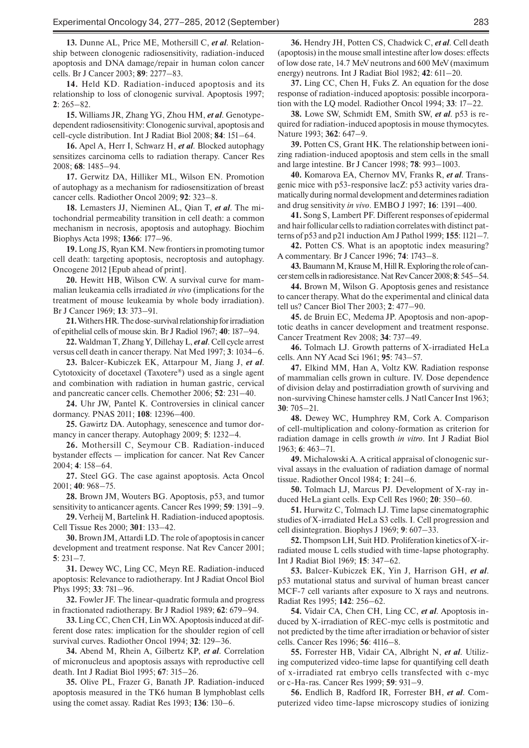**13.** Dunne AL, Price ME, Mothersill C, *et al*. Relationship between clonogenic radiosensitivity, radiation-induced apoptosis and DNA damage/repair in human colon cancer cells. Br J Cancer 2003; **89**: 2277–83.

**14.** Held KD. Radiation-induced apoptosis and its relationship to loss of clonogenic survival. Apoptosis 1997; **2**: 265–82.

**15.** Williams JR, Zhang YG, Zhou HM, *et al*. Genotypedependent radiosensitivity: Clonogenic survival, apoptosis and cell-cycle distribution. Int J Radiat Biol 2008; **84**: 151–64.

**16.** Apel A, Herr I, Schwarz H, *et al*. Blocked autophagy sensitizes carcinoma cells to radiation therapy. Cancer Res 2008; **68**: 1485–94.

**17.** Gerwitz DA, Hilliker ML, Wilson EN. Promotion of autophagy as a mechanism for radiosensitization of breast cancer cells. Radiother Oncol 2009; **92**: 323–8.

**18.** Lemasters JJ, Nieminen AL, Qian T, *et al*. The mitochondrial permeability transition in cell death: a common mechanism in necrosis, apoptosis and autophagy. Biochim Biophys Acta 1998; **1366**: 177–96.

**19.** Long JS, Ryan KM. New frontiers in promoting tumor cell death: targeting apoptosis, necroptosis and autophagy. Oncogene 2012 [Epub ahead of print].

**20.** Hewitt HB, Wilson CW. A survival curve for mammalian leukeamia cells irradiated *in vivo* (implications for the treatment of mouse leukeamia by whole body irradiation). Br J Cancer 1969; **13**: 373–91.

**21.** Withers HR. The dose-survival relationship for irradiation of epithelial cells of mouse skin. Br J Radiol 1967; **40**: 187–94.

**22.** Waldman T, Zhang Y, Dillehay L, *et al*. Cell cycle arrest versus cell death in cancer therapy. Nat Med 1997; **3**: 1034–6.

**23.** Balcer-Kubiczek EK, Attarpour M, Jiang J, *et al*. Cytotoxicity of docetaxel (Taxotere®) used as a single agent and combination with radiation in human gastric, cervical and pancreatic cancer cells. Chemother 2006; **52**: 231–40.

**24.** Uhr JW, Pantel K. Controversies in clinical cancer dormancy. PNAS 2011; **108**: 12396–400.

**25.** Gawirtz DA. Autophagy, senescence and tumor dormancy in cancer therapy. Autophagy 2009; **5**: 1232–4.

**26.** Mothersill C, Seymour CB. Radiation-induced bystander effects — implication for cancer. Nat Rev Cancer 2004; **4**: 158–64.

**27.** Steel GG. The case against apoptosis. Acta Oncol 2001; **40**: 968–75.

**28.** Brown JM, Wouters BG. Apoptosis, p53, and tumor sensitivity to anticancer agents. Cancer Res 1999; **59**: 1391–9.

**29.** Verheij M, Bartelink H. Radiation-induced apoptosis. Cell Tissue Res 2000; **301**: 133–42.

**30.** Brown JM, Attardi LD. The role of apoptosis in cancer development and treatment response. Nat Rev Cancer 2001; **5**: 231–7.

**31.** Dewey WC, Ling CC, Meyn RE. Radiation-induced apoptosis: Relevance to radiotherapy. Int J Radiat Oncol Biol Phys 1995; **33**: 781–96.

**32.** Fowler JF. The linear-quadratic formula and progress in fractionated radiotherapy. Br J Radiol 1989; **62**: 679–94.

**33.** Ling CC, Chen CH, Lin WX. Apoptosis induced at different dose rates: implication for the shoulder region of cell survival curves. Radiother Oncol 1994; **32**: 129–36.

**34.** Abend M, Rhein A, Gilbertz KP, *et al*. Correlation of micronucleus and apoptosis assays with reproductive cell death. Int J Radiat Biol 1995; **67**: 315–26.

**35.** Olive PL, Frazer G, Banath JP. Radiation-induced apoptosis measured in the TK6 human B lymphoblast cells using the comet assay. Radiat Res 1993; **136**: 130–6.

**36.** Hendry JH, Potten CS, Chadwick C, *et al*. Cell death (apoptosis) in the mouse small intestine after low doses: effects of low dose rate, 14.7 MeV neutrons and 600 MeV (maximum energy) neutrons. Int J Radiat Biol 1982; **42**: 611–20.

**37.** Ling CC, Chen H, Fuks Z. An equation for the dose response of radiation-induced apoptosis: possible incorporation with the LQ model. Radiother Oncol 1994; **33**: 17–22.

**38.** Lowe SW, Schmidt EM, Smith SW, *et al*. p53 is required for radiation-induced apoptosis in mouse thymocytes. Nature 1993; **362**: 647–9.

**39.** Potten CS, Grant HK. The relationship between ionizing radiation-induced apoptosis and stem cells in the small and large intestine. Br J Cancer 1998; **78**: 993–1003.

**40.** Komarova EA, Chernov MV, Franks R, *et al*. Transgenic mice with p53-responsive lacZ: p53 activity varies dramatically during normal development and determines radiation and drug sensitivity *in vivo*. EMBO J 1997; **16**: 1391–400.

**41.** Song S, Lambert PF. Different responses of epidermal and hair follicular cells to radiation correlates with distinct patterns of p53 and p21 induction Am J Pathol 1999; **155**: 1121–7.

**42.** Potten CS. What is an apoptotic index measuring? A commentary. Br J Cancer 1996; **74**: 1743–8.

**43.** Baumann M, Krause M, Hill R. Exploring the role of cancer stem cells in radioresistance. Nat Rev Cancer 2008; **8**: 545–54.

**44.** Brown M, Wilson G. Apoptosis genes and resistance to cancer therapy. What do the experimental and clinical data tell us? Cancer Biol Ther 2003; **2**: 477–90.

**45.** de Bruin EC, Medema JP. Apoptosis and non-apoptotic deaths in cancer development and treatment response. Cancer Treatment Rev 2008; **34**: 737–49.

**46.** Tolmach LJ. Growth patterns of X-irradiated HeLa cells. Ann NY Acad Sci 1961; **95**: 743–57.

**47.** Elkind MM, Han A, Voltz KW. Radiation response of mammalian cells grown in culture. IV. Dose dependence of division delay and postirradiation growth of surviving and non-surviving Chinese hamster cells. J Natl Cancer Inst 1963; **30**: 705–21.

**48.** Dewey WC, Humphrey RM, Cork A. Comparison of cell-multiplication and colony-formation as criterion for radiation damage in cells growth *in vitro*. Int J Radiat Biol 1963; **6**: 463–71.

**49.** Michalowski A. A critical appraisal of clonogenic survival assays in the evaluation of radiation damage of normal tissue. Radiother Oncol 1984; **1**: 241–6.

**50.** Tolmach LJ, Marcus PJ. Development of X-ray induced HeLa giant cells. Exp Cell Res 1960; **20**: 350–60.

**51.** Hurwitz C, Tolmach LJ. Time lapse cinematographic studies of X-irradiated HeLa S3 cells. I. Cell progression and cell disintegration. Biophys J 1969; **9**: 607–33.

**52.** Thompson LH, Suit HD. Proliferation kinetics of X-irradiated mouse L cells studied with time-lapse photography. Int J Radiat Biol 1969; **15**: 347–62.

**53.** Balcer-Kubiczek EK, Yin J, Harrison GH, *et al*. p53 mutational status and survival of human breast cancer MCF-7 cell variants after exposure to X rays and neutrons. Radiat Res 1995; **142**: 256–62.

**54.** Vidair CA, Chen CH, Ling CC, *et al*. Apoptosis induced by X-irradiation of REC-myc cells is postmitotic and not predicted by the time after irradiation or behavior of sister cells. Cancer Res 1996; **56**: 4116–8.

**55.** Forrester HB, Vidair CA, Albright N, *et al*. Utilizing computerized video-time lapse for quantifying cell death of x-irradiated rat embryo cells transfected with c-myc or c-Ha-ras. Cancer Res 1999; **59**: 931–9.

**56.** Endlich B, Radford IR, Forrester BH, *et al*. Computerized video time-lapse microscopy studies of ionizing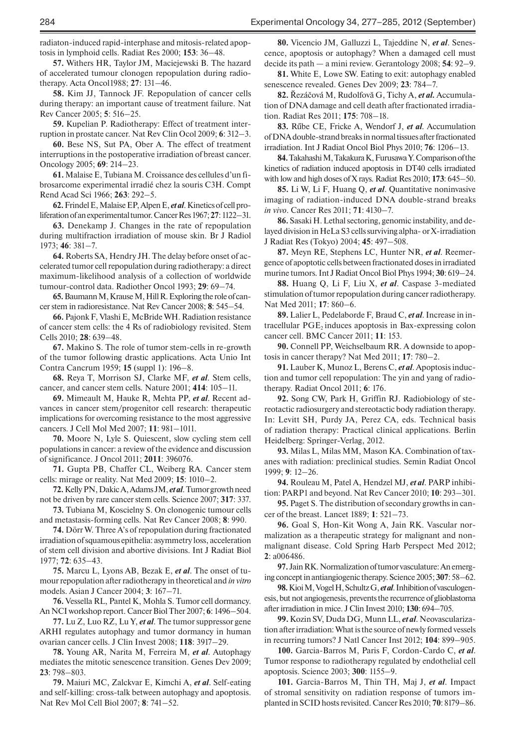radiaton-induced rapid-interphase and mitosis-related apoptosis in lymphoid cells. Radiat Res 2000; **153**: 36–48.

**57.** Withers HR, Taylor JM, Maciejewski B. The hazard of accelerated tumour clonogen repopulation during radiotherapy. Acta Oncol1988; **27**: 131–46.

**58.** Kim JJ, Tannock JF. Repopulation of cancer cells during therapy: an important cause of treatment failure. Nat Rev Cancer 2005; **5**: 516–25.

**59.** Kupelian P. Radiotherapy: Effect of treatment interruption in prostate cancer. Nat Rev Clin Ocol 2009; **6**: 312–3.

**60.** Bese NS, Sut PA, Ober A. The effect of treatment interruptions in the postoperative irradiation of breast cancer. Oncology 2005; **69**: 214–23.

**61.** Malaise E, Tubiana M. Croissance des cellules d'un fibrosarcome experimental irradié chez la souris C3H. Compt Rend Acad Sci 1966; **263**: 292–5.

**62.** Frindel E, Malaise EP, Alpen E, *et al*. Kinetics of cell proliferation of an experimental tumor. Cancer Res 1967; **27**: 1122–31.

**63.** Denekamp J. Changes in the rate of repopulation during multifraction irradiation of mouse skin. Br J Radiol 1973; **46**: 381–7.

**64.** Roberts SA, Hendry JH. The delay before onset of accelerated tumor cell repopulation during radiotherapy: a direct maximum-likelihood analysis of a collection of worldwide tumour-control data. Radiother Oncol 1993; **29**: 69–74.

**65.** Baumann M, Krause M, Hill R. Exploring the role of cancer stem in radioresistance. Nat Rev Cancer 2008; **8**: 545–54.

**66.** Pajonk F, Vlashi E, McBride WH. Radiation resistance of cancer stem cells: the 4 Rs of radiobiology revisited. Stem Cells 2010; **28**: 639–48.

**67.** Makino S. The role of tumor stem-cells in re-growth of the tumor following drastic applications. Acta Unio Int Contra Cancrum 1959; **15** (suppl 1): 196–8.

**68.** Reya T, Morrison SJ, Clarke MF, *et al*. Stem cells, cancer, and cancer stem cells. Nature 2001; **414**: 105–11.

**69.** Mimeault M, Hauke R, Mehta PP, *et al*. Recent advances in cancer stem/progenitor cell research: therapeutic implications for overcoming resistance to the most aggressive cancers. J Cell Mol Med 2007; **11**: 981–1011.

**70.** Moore N, Lyle S. Quiescent, slow cycling stem cell populations in cancer: a review of the evidence and discussion of significance. J Oncol 2011; **2011**: 396076.

**71.** Gupta PB, Chaffer CL, Weiberg RA. Cancer stem cells: mirage or reality. Nat Med 2009; **15**: 1010–2.

**72.** Kelly PN, Dakic A, Adams JM, *et al*. Tumor growth need not be driven by rare cancer stem cells. Science 2007; **317**: 337.

**73.** Tubiana M, Koscielny S. On clonogenic tumour cells and metastasis-forming cells. Nat Rev Cancer 2008; **8**: 990.

**74.** Dörr W. Three A's of repopulation during fractionated irradiation of squamous epithelia: asymmetry loss, acceleration of stem cell division and abortive divisions. Int J Radiat Biol 1977; **72**: 635–43.

**75.** Marcu L, Lyons AB, Bezak E, *et al*. The onset of tumour repopulation after radiotherapy in theoretical and *in vitro* models. Asian J Cancer 2004; **3**: 167–71.

**76.** Vessella RL, Pantel K, Mohla S. Tumor cell dormancy. An NCI workshop report. Cancer Biol Ther 2007; **6**: 1496–504.

**77.** Lu Z, Luo RZ, Lu Y, *et al*. The tumor suppressor gene ARHI regulates autophagy and tumor dormancy in human ovarian cancer cells. J Clin Invest 2008; **118**: 3917–29.

**78.** Young AR, Narita M, Ferreira M, *et al*. Autophagy mediates the mitotic senescence transition. Genes Dev 2009; **23**: 798–803.

**79.** Maiuri MC, Zalckvar E, Kimchi A, *et al*. Self-eating and self-killing: cross-talk between autophagy and apoptosis. Nat Rev Mol Cell Biol 2007; **8**: 741–52.

**80.** Vicencio JM, Galluzzi L, Tajeddine N, *et al*. Senescence, apoptosis or autophagy? When a damaged cell must decide its path — a mini review. Gerantology 2008; **54**: 92–9.

**81.** White E, Lowe SW. Eating to exit: autophagy enabled senescence revealed. Genes Dev 2009; **23**: 784–7.

**82.** Řezáčová M, Rudolfovă G, Tichy A, *et al.* Accumulation of DNA damage and cell death after fractionated irradiation. Radiat Res 2011; **175**: 708–18.

**83.** Rűbe CE, Fricke A, Wendorf J, *et al*. Accumulation of DNA double-strand breaks in normal tissues after fractionated irradiation. Int J Radiat Oncol Biol Phys 2010; **76**: 1206–13.

**84.** Takahashi M, Takakura K, Furusawa Y. Comparison of the kinetics of radiation induced apoptosis in DT40 cells irradiated with low and high doses of X rays. Radiat Res 2010; **173**: 645–50.

**85.** Li W, Li F, Huang Q, *et al*. Quantitative noninvasive imaging of radiation-induced DNA double-strand breaks *in vivo*. Cancer Res 2011; **71**: 4130–7.

**86.** Sasaki H. Lethal sectoring, genomic instability, and delayed division in HeLa S3 cells surviving alpha- or X-irradiation J Radiat Res (Tokyo) 2004; **45**: 497–508.

**87.** Meyn RE, Stephens LC, Hunter NR, *et al*. Reemergence of apoptotic cells between fractionated doses in irradiated murine tumors. Int J Radiat Oncol Biol Phys 1994; **30**: 619–24.

**88.** Huang Q, Li F, Liu X, *et al*. Caspase 3-mediated stimulation of tumor repopulation during cancer radiotherapy. Nat Med 2011; **17**: 860–6.

**89.** Lalier L, Pedelaborde F, Braud C, *et al*. Increase in intracellular  $PGE_2$  induces apoptosis in Bax-expressing colon cancer cell. BMC Cancer 2011; **11**: 153.

**90.** Connell PP, Weichselbaum RR. A downside to apoptosis in cancer therapy? Nat Med 2011; **17**: 780–2.

**91.** Lauber K, Munoz L, Berens C, *et al*. Apoptosis induction and tumor cell repopulation: The yin and yang of radiotherapy. Radiat Oncol 2011; **6**: 176.

**92.** Song CW, Park H, Griffin RJ. Radiobiology of stereotactic radiosurgery and stereotactic body radiation therapy. In: Levitt SH, Purdy JA, Perez CA, eds. Technical basis of radiation therapy: Practical clinical applications. Berlin Heidelberg: Springer-Verlag, 2012.

**93.** Milas L, Milas MM, Mason KA. Combination of taxanes with radiation: preclinical studies. Semin Radiat Oncol 1999; **9**: 12–26.

**94.** Rouleau M, Patel A, Hendzel MJ, *et al*. PARP inhibition: PARP1 and beyond. Nat Rev Cancer 2010; **10**: 293–301.

**95.** Paget S. The distribution of secondary growths in cancer of the breast. Lancet 1889; **1**: 521–73.

**96.** Goal S, Hon-Kit Wong A, Jain RK. Vascular normalization as a therapeutic strategy for malignant and nonmalignant disease. Cold Spring Harb Perspect Med 2012; **2**: a006486.

**97.** Jain RK. Normalization of tumor vasculature: An emerging concept in antiangiogenic therapy. Science 2005; **307**: 58–62.

**98.** Kioi M, Vogel H, Schultz G, *et al*. Inhibition of vasculogenesis, but not angiogenesis, prevents the recurrence of glioblastoma after irradiation in mice. J Clin Invest 2010; **130**: 694–705.

**99.** Kozin SV, Duda DG, Munn LL, *et al*. Neovascularization after irradiation: What is the source of newly formed vessels in recurring tumors? J Natl Cancer Inst 2012; **104**: 899–905.

**100.** Garcia-Barros M, Paris F, Cordon-Cardo C, *et al*. Tumor response to radiotherapy regulated by endothelial cell apoptosis. Science 2003; **300**: 1155–9.

**101.** Garcia-Barros M, Thin TH, Maj J, *et al*. Impact of stromal sensitivity on radiation response of tumors implanted in SCID hosts revisited. Cancer Res 2010; **70**: 8179–86.